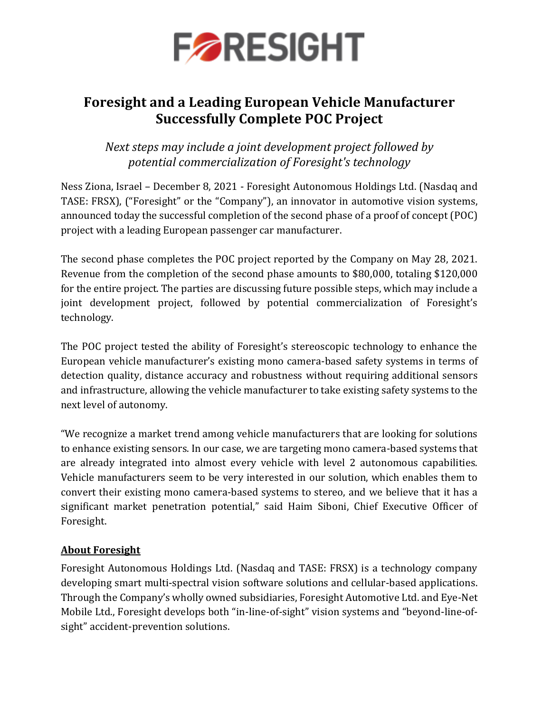

## **Foresight and a Leading European Vehicle Manufacturer Successfully Complete POC Project**

*Next steps may include a joint development project followed by potential commercialization of Foresight's technology*

Ness Ziona, Israel – December 8, 2021 - Foresight Autonomous Holdings Ltd. (Nasdaq and TASE: FRSX), ("Foresight" or the "Company"), an innovator in automotive vision systems, announced today the successful completion of the second phase of a proof of concept (POC) project with a leading European passenger car manufacturer.

The second phase completes the POC project reported by the Company on May 28, 2021. Revenue from the completion of the second phase amounts to \$80,000, totaling \$120,000 for the entire project. The parties are discussing future possible steps, which may include a joint development project, followed by potential commercialization of Foresight's technology.

The POC project tested the ability of Foresight's stereoscopic technology to enhance the European vehicle manufacturer's existing mono camera-based safety systems in terms of detection quality, distance accuracy and robustness without requiring additional sensors and infrastructure, allowing the vehicle manufacturer to take existing safety systems to the next level of autonomy.

"We recognize a market trend among vehicle manufacturers that are looking for solutions to enhance existing sensors. In our case, we are targeting mono camera-based systems that are already integrated into almost every vehicle with level 2 autonomous capabilities. Vehicle manufacturers seem to be very interested in our solution, which enables them to convert their existing mono camera-based systems to stereo, and we believe that it has a significant market penetration potential," said Haim Siboni, Chief Executive Officer of Foresight.

### **About Foresight**

Foresight Autonomous Holdings Ltd. (Nasdaq and TASE: FRSX) is a technology company developing smart multi-spectral vision software solutions and cellular-based applications. Through the Company's wholly owned subsidiaries, Foresight Automotive Ltd. and Eye-Net Mobile Ltd., Foresight develops both "in-line-of-sight" vision systems and "beyond-line-ofsight" accident-prevention solutions.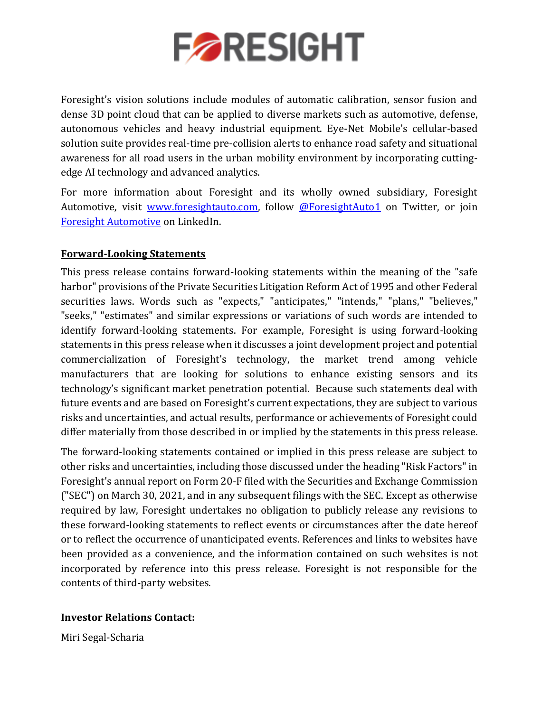

Foresight's vision solutions include modules of automatic calibration, sensor fusion and dense 3D point cloud that can be applied to diverse markets such as automotive, defense, autonomous vehicles and heavy industrial equipment. Eye-Net Mobile's cellular-based solution suite provides real-time pre-collision alerts to enhance road safety and situational awareness for all road users in the urban mobility environment by incorporating cuttingedge AI technology and advanced analytics.

For more information about Foresight and its wholly owned subsidiary, Foresight Automotive, visit [www.foresightauto.com,](about:blank) follow [@ForesightAuto1](https://twitter.com/ForesightAuto1) on Twitter, or join [Foresight Automotive](https://www.linkedin.com/company/foresight-automotive/) on LinkedIn.

## **Forward-Looking Statements**

This press release contains forward-looking statements within the meaning of the "safe harbor" provisions of the Private Securities Litigation Reform Act of 1995 and other Federal securities laws. Words such as "expects," "anticipates," "intends," "plans," "believes," "seeks," "estimates" and similar expressions or variations of such words are intended to identify forward-looking statements. For example, Foresight is using forward-looking statements in this press release when it discusses a joint development project and potential commercialization of Foresight's technology, the market trend among vehicle manufacturers that are looking for solutions to enhance existing sensors and its technology's significant market penetration potential. Because such statements deal with future events and are based on Foresight's current expectations, they are subject to various risks and uncertainties, and actual results, performance or achievements of Foresight could differ materially from those described in or implied by the statements in this press release.

The forward-looking statements contained or implied in this press release are subject to other risks and uncertainties, including those discussed under the heading "Risk Factors" in Foresight's annual report on Form 20-F filed with the Securities and Exchange Commission ("SEC") on March 30, 2021, and in any subsequent filings with the SEC. Except as otherwise required by law, Foresight undertakes no obligation to publicly release any revisions to these forward-looking statements to reflect events or circumstances after the date hereof or to reflect the occurrence of unanticipated events. References and links to websites have been provided as a convenience, and the information contained on such websites is not incorporated by reference into this press release. Foresight is not responsible for the contents of third-party websites.

### **Investor Relations Contact:**

Miri Segal-Scharia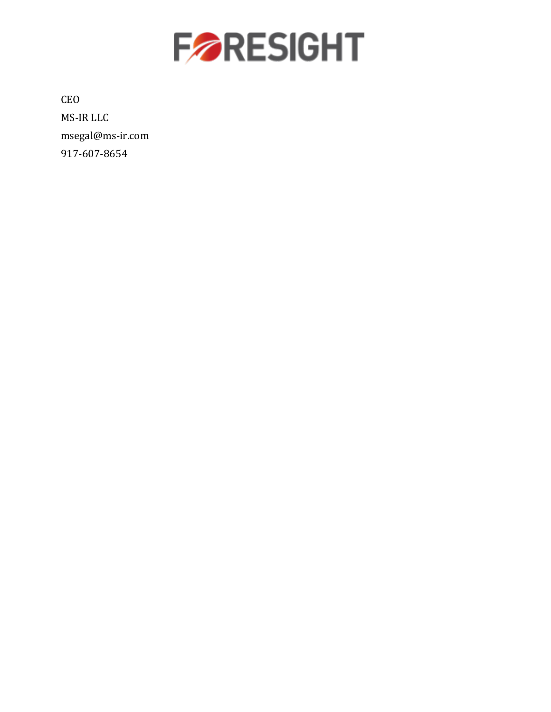

CEO MS-IR LLC [msegal@ms-ir.com](mailto:msegal@ms-ir.com) 917-607-8654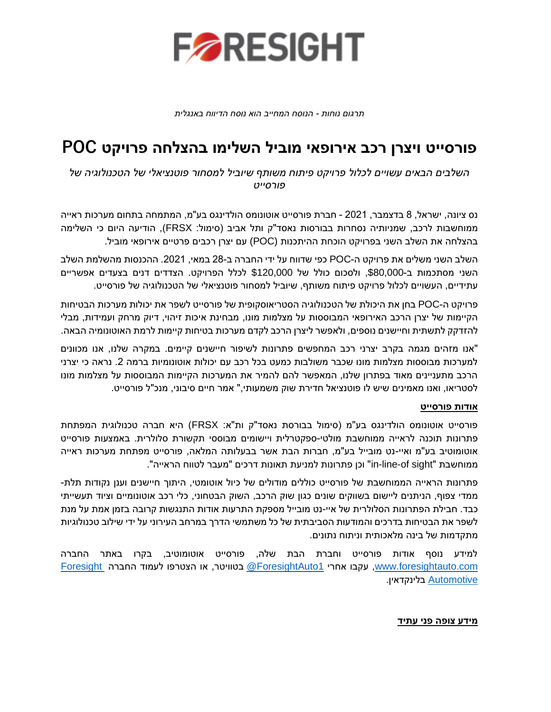

*תרגום נוחות - הנוסח המחייב הוא נוסח הדיווח באנגלית* 

# **פורסייט ויצרן רכב אירופאי מוביל השלימ ו בהצלחה פרויקט POC**

*השלבים הבאים עשויים לכלול פרויקט פיתוח משותף שיוביל למסחור פוטנציאלי של הטכנולוגיה של פורסייט* 

נס ציונה, ישראל, 8 בדצמבר , 2021 - חברת פורסייט אוטונומס הולדינגס בע"מ, המתמחה בתחום מערכות ראייה ממוחשבות לרכב, שמניותיה נסחרות בבורסות נאסד"ק ותל אביב (סימול: FRSX), הודיעה היום כי השלימה בהצלחה את השלב השני בפרויקט הוכחת ההיתכנות (POC (עם יצרן רכבים פרטיים אירופאי מוביל.

השלב השני משלים את פרויקט ה-POC כפי שדווח על ידי החברה ב28- במאי, .2021 ההכנסות מהשלמת השלב השני מסתכמות ב,\$80,000- ולסכום כולל של \$120,000 לכלל הפרויקט. הצדדים דנים בצעדים אפשריים עתידיים, ה עשויים לכלול פרויקט פיתוח משותף, שיוביל למסחור פוטנציאלי של הטכנולוגיה של פורסייט.

פרויקט ה-POC בחן את ה יכולת של הטכנולוגיה הסטריאוסקופית של פורסייט לשפר את יכולות מערכות הבטיחות הקיימות של יצרן הרכב האירופאי המבוססות על מצלמות מונו, מבחינת איכות זיהוי, דיוק מרחק ועמידות, מבלי להזדקק לתשתית וחיישנים נוספים, ולאפשר ליצרן הרכב לקדם מערכות בטיחות קיימות לרמת האוטונומיה הבאה.

"אנו מזהים מגמה בקרב יצרני רכב המחפשים פתרונות לשיפור חיישנים קיימים. במקרה שלנו, אנו מכוונים למערכות מבוססות מצלמות מונו שכבר משולבות כמעט בכל רכב עם יכולות אוטונומיות ברמה .2 נראה כי יצרני הרכב מתעניינים מאוד בפתרון שלנו, המאפשר להם להמיר את המערכות הקיימות המבוססות על מצלמות מונו לסטריאו, ואנו מאמינים שיש לו פוטנציאל חדירת שוק משמעותי ," אמר חיים סיבוני, מנכ"ל פורסייט.

#### **אודות פורסייט**

פורסייט אוטונומס הולדינגס בע"מ )סימול בבורסת נאסד"ק ות"א: FRSX )היא חברה טכנולוגית המפתחת פתרונות תוכנה לראייה ממוחשבת מולטי-ספקטרלית ויישומים מבוססי תקשורת סלולרית. באמצעות פורסייט אוטומוטיב בע"מ ואיי-נט מובייל בע"מ, חברות הבת אשר בבעלותה המלאה, פורסייט מפתחת מערכות ראייה ממוחשבת "sight of-line-in "וכן פתרונות למניעת תאונות דרכים "מעבר לטווח הראייה".

פתרונות הראייה הממוחשבת של פורסייט כוללים מודולים של כיול אוטומטי, היתוך חיישנים וענן נקודות תלת-ממדי צפוף, הניתנים ליישום בשווקים שונים כגון שוק הרכב, השוק הבטחוני, כלי רכב אוטונומיים וציוד תעשייתי כבד. חבילת הפתרונות הסלולרית של איי-נט מובייל מספקת התרעות אודות התנגשות קרובה בזמן אמת על מנת לשפר את הבטיחות בדרכים והמודעות הסביבתית של כל משתמשי הדרך במרחב העירוני על ידי שילוב טכנולוגיות מתקדמות של בינה מלאכותית וניתוח נתונים.

למידע נוסף אודות פורסייט וחברת הבת שלה, פורסייט אוטומוטיב, בקרו באתר החברה [com.foresightauto.www,](http://www.foresightauto.com/) עקבו אחרי [1ForesightAuto](https://twitter.com/ForesightAuto1/) @בטוויטר, או הצטרפו לעמוד החברה [Foresight](https://www.linkedin.com/company/10469458/) [Automotive](https://www.linkedin.com/company/10469458/) בלינקדאין .

#### **מידע צופה פני עתיד**